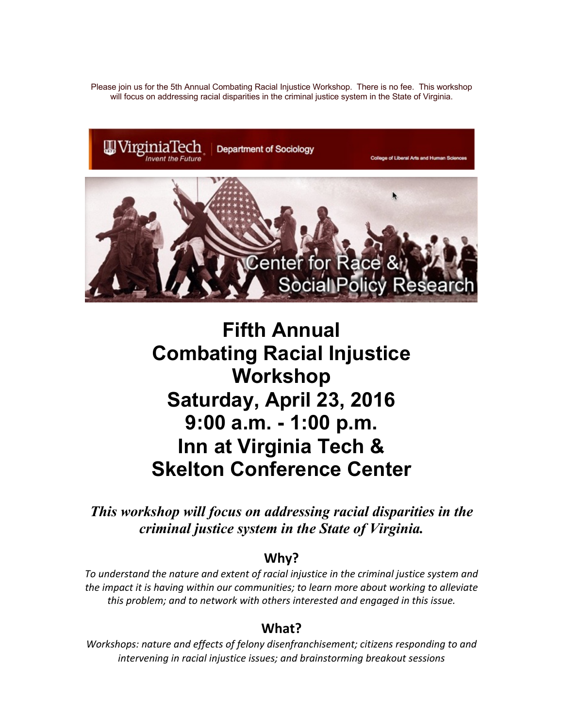Please join us for the 5th Annual Combating Racial Injustice Workshop. There is no fee. This workshop will focus on addressing racial disparities in the criminal justice system in the State of Virginia.



# **Fifth Annual Combating Racial Injustice Workshop Saturday, April 23, 2016 9:00 a.m. - 1:00 p.m. Inn at Virginia Tech & Skelton Conference Center**

*This workshop will focus on addressing racial disparities in the criminal justice system in the State of Virginia.*

#### **Why?**

*To understand the nature and extent of racial injustice in the criminal justice system and the impact it is having within our communities; to learn more about working to alleviate this problem; and to network with others interested and engaged in this issue.*

### **What?**

*Workshops: nature and effects of felony disenfranchisement; citizens responding to and intervening in racial injustice issues; and brainstorming breakout sessions*